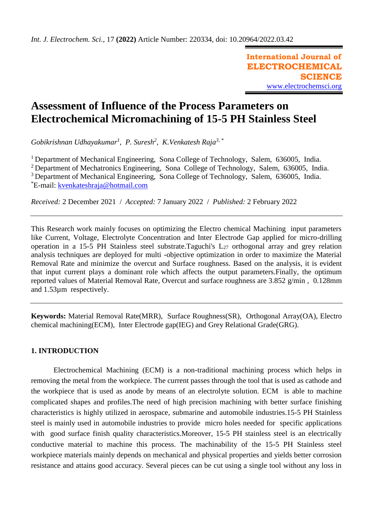**International Journal of ELECTROCHEMICAL SCIENCE** [www.electrochemsci.org](http://www.electrochemsci.org/)

# **Assessment of Influence of the Process Parameters on Electrochemical Micromachining of 15-5 PH Stainless Steel**

*Gobikrishnan Udhayakumar<sup>1</sup> , P. Suresh<sup>2</sup> , K.Venkatesh Raja3, \**

<sup>1</sup> Department of Mechanical Engineering, Sona College of Technology, Salem, 636005, India. <sup>2</sup> Department of Mechatronics Engineering, Sona College of Technology, Salem, 636005, India. <sup>3</sup> Department of Mechanical Engineering, Sona College of Technology, Salem, 636005, India. \*E-mail: [kvenkateshraja@hotmail.com](mailto:kvenkateshraja@hotmail.com)

*Received:* 2 December 2021/ *Accepted:* 7 January 2022 / *Published:* 2 February 2022

This Research work mainly focuses on optimizing the Electro chemical Machining input parameters like Current, Voltage, Electrolyte Concentration and Inter Electrode Gap applied for micro-drilling operation in a 15-5 PH Stainless steel substrate. Taguchi's  $L_{27}$  orthogonal array and grey relation analysis techniques are deployed for multi -objective optimization in order to maximize the Material Removal Rate and minimize the overcut and Surface roughness. Based on the analysis, it is evident that input current plays a dominant role which affects the output parameters.Finally, the optimum reported values of Material Removal Rate, Overcut and surface roughness are 3.852 g/min , 0.128mm and 1.53µm respectively.

**Keywords:** Material Removal Rate(MRR), Surface Roughness(SR), Orthogonal Array(OA), Electro chemical machining(ECM), Inter Electrode gap(IEG) and Grey Relational Grade(GRG).

# **1. INTRODUCTION**

Electrochemical Machining (ECM) is a non-traditional machining process which helps in removing the metal from the workpiece. The current passes through the tool that is used as cathode and the workpiece that is used as anode by means of an electrolyte solution. ECM is able to machine complicated shapes and profiles.The need of high precision machining with better surface finishing characteristics is highly utilized in aerospace, submarine and automobile industries.15-5 PH Stainless steel is mainly used in automobile industries to provide micro holes needed for specific applications with good surface finish quality characteristics. Moreover, 15-5 PH stainless steel is an electrically conductive material to machine this process. The machinability of the 15-5 PH Stainless steel workpiece materials mainly depends on mechanical and physical properties and yields better corrosion resistance and attains good accuracy. Several pieces can be cut using a single tool without any loss in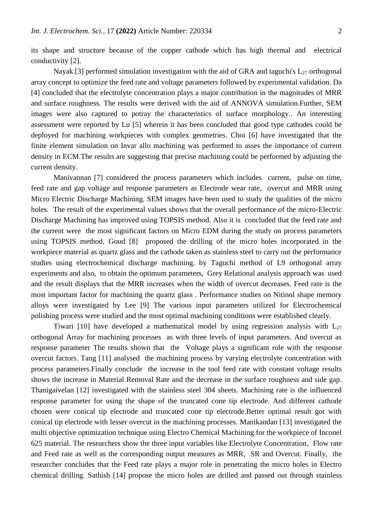its shape and structure because of the copper cathode which has high thermal and electrical conductivity [2].

Nayak [3] performed simulation investigation with the aid of GRA and taguchi's  $L_{27}$  orthogonal array concept to optimize the feed rate and voltage parameters followed by experimental validation. Da [4] concluded that the electrolyte concentration plays a major contribution in the magnitudes of MRR and surface roughness. The results were derived with the aid of ANNOVA simulation.Further, SEM images were also captured to potray the characteristics of surface morphology.. An interesting assessment were reported by Lu [5] wherein it has been concluded that good type cathodes could be deployed for machining workpieces with complex geometries. Choi [6] have investigated that the finite element simulation on Invar allo machining was performed to asses the importance of current density in ECM.The results are suggesting that precise machining could be performed by adjusting the current density.

Manivannan [7] considered the process parameters which includes current, pulse on time, feed rate and gap voltage and response parameters as Electrode wear rate, overcut and MRR using Micro Electric Discharge Machining. SEM images have been used to study the qualities of the micro holes. The result of the experimental values shows that the overall performance of the micro-Electric Discharge Machining has improved using TOPSIS method. Also it is concluded that the feed rate and the current were the most significant factors on Micro EDM during the study on process parameters using TOPSIS method. Goud [8] proposed the drilling of the micro holes incorporated in the workpiece material as quartz glass and the cathode taken as stainless steel to carry out the performance studies using electrochemical discharge machining. by Taguchi method of L9 orthogonal array experiments and also, to obtain the optimum parameters, Grey Relational analysis approach was used and the result displays that the MRR increases when the width of overcut decreases. Feed rate is the most important factor for machining the quartz glass . Performance studies on Nitinol shape memory alloys were investigated by Lee [9] The various input parameters utilized for Electrochemical polishing process were studied and the most optimal machining conditions were established clearly.

Tiwari [10] have developed a mathematical model by using regression analysis with  $L_{27}$ orthogonal Array for machining processes as with three levels of input parameters. And overcut as response parameter The results shown that the Voltage plays a significant role with the response overcut factors. Tang [11] analysed the machining process by varying electrolyte concentration with process parameters.Finally conclude the increase in the tool feed rate with constant voltage results shows the increase in Material Removal Rate and the decrease in the surface roughness and side gap. Thanigaivelan [12] investigated with the stainless steel 304 sheets. Machining rate is the influenced response parameter for using the shape of the truncated cone tip electrode. And different cathode chosen were conical tip electrode and truncated cone tip electrode.Better optimal result got with conical tip electrode with lesser overcut in the machining processes. Manikandan [13] investigated the multi objective optimization technique using Electro Chemical Machining for the workpiece of Inconel 625 material. The researchers show the three input variables like Electrolyte Concentration, Flow rate and Feed rate as well as the corresponding output measures as MRR, SR and Overcut. Finally, the researcher concludes that the Feed rate plays a major role in penetrating the micro holes in Electro chemical drilling. Sathish [14] propose the micro holes are drilled and passed out through stainless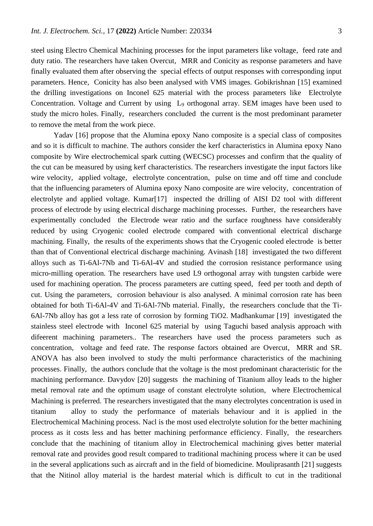steel using Electro Chemical Machining processes for the input parameters like voltage, feed rate and duty ratio. The researchers have taken Overcut, MRR and Conicity as response parameters and have finally evaluated them after observing the special effects of output responses with corresponding input parameters. Hence, Conicity has also been analysed with VMS images. Gobikrishnan [15] examined the drilling investigations on Inconel 625 material with the process parameters like Electrolyte Concentration. Voltage and Current by using L<sup>9</sup> orthogonal array. SEM images have been used to study the micro holes. Finally, researchers concluded the current is the most predominant parameter to remove the metal from the work piece.

Yadav [16] propose that the Alumina epoxy Nano composite is a special class of composites and so it is difficult to machine. The authors consider the kerf characteristics in Alumina epoxy Nano composite by Wire electrochemical spark cutting (WECSC) processes and confirm that the quality of the cut can be measured by using kerf characteristics. The researchers investigate the input factors like wire velocity, applied voltage, electrolyte concentration, pulse on time and off time and conclude that the influencing parameters of Alumina epoxy Nano composite are wire velocity, concentration of electrolyte and applied voltage. Kumar[17] inspected the drilling of AISI D2 tool with different process of electrode by using electrical discharge machining processes. Further, the researchers have experimentally concluded the Electrode wear ratio and the surface roughness have considerably reduced by using Cryogenic cooled electrode compared with conventional electrical discharge machining. Finally, the results of the experiments shows that the Cryogenic cooled electrode is better than that of Conventional electrical discharge machining. Avinash [18] investigated the two different alloys such as Ti-6Al-7Nb and Ti-6Al-4V and studied the corrosion resistance performance using micro-milling operation. The researchers have used L9 orthogonal array with tungsten carbide were used for machining operation. The process parameters are cutting speed, feed per tooth and depth of cut. Using the parameters, corrosion behaviour is also analysed. A minimal corrosion rate has been obtained for both Ti-6Al-4V and Ti-6Al-7Nb material. Finally, the researchers conclude that the Ti-6Al-7Nb alloy has got a less rate of corrosion by forming TiO2. Madhankumar [19] investigated the stainless steel electrode with Inconel 625 material by using Taguchi based analysis approach with difeerent machining parameters.. The researchers have used the process parameters such as concentration, voltage and feed rate. The response factors obtained are Overcut, MRR and SR. ANOVA has also been involved to study the multi performance characteristics of the machining processes. Finally, the authors conclude that the voltage is the most predominant characteristic for the machining performance. Davydov [20] suggests the machining of Titanium alloy leads to the higher metal removal rate and the optimum usage of constant electrolyte solution, where Electrochemical Machining is preferred. The researchers investigated that the many electrolytes concentration is used in titanium alloy to study the performance of materials behaviour and it is applied in the Electrochemical Machining process. Nacl is the most used electrolyte solution for the better machining process as it costs less and has better machining performance efficiency. Finally, the researchers conclude that the machining of titanium alloy in Electrochemical machining gives better material removal rate and provides good result compared to traditional machining process where it can be used in the several applications such as aircraft and in the field of biomedicine. Mouliprasanth [21] suggests that the Nitinol alloy material is the hardest material which is difficult to cut in the traditional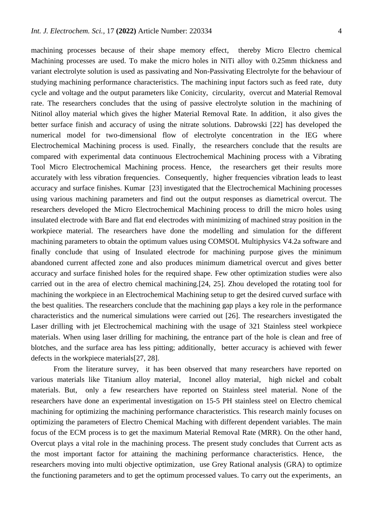machining processes because of their shape memory effect, thereby Micro Electro chemical Machining processes are used. To make the micro holes in NiTi alloy with 0.25mm thickness and variant electrolyte solution is used as passivating and Non-Passivating Electrolyte for the behaviour of studying machining performance characteristics. The machining input factors such as feed rate, duty cycle and voltage and the output parameters like Conicity, circularity, overcut and Material Removal rate. The researchers concludes that the using of passive electrolyte solution in the machining of Nitinol alloy material which gives the higher Material Removal Rate. In addition, it also gives the better surface finish and accuracy of using the nitrate solutions. Dabrowski [22] has developed the numerical model for two-dimensional flow of electrolyte concentration in the IEG where Electrochemical Machining process is used. Finally, the researchers conclude that the results are compared with experimental data continuous Electrochemical Machining process with a Vibrating Tool Micro Electrochemical Machining process. Hence, the researchers get their results more accurately with less vibration frequencies. Consequently, higher frequencies vibration leads to least accuracy and surface finishes. Kumar [23] investigated that the Electrochemical Machining processes using various machining parameters and find out the output responses as diametrical overcut. The researchers developed the Micro Electrochemical Machining process to drill the micro holes using insulated electrode with Bare and flat end electrodes with minimizing of machined stray position in the workpiece material. The researchers have done the modelling and simulation for the different machining parameters to obtain the optimum values using COMSOL Multiphysics V4.2a software and finally conclude that using of Insulated electrode for machining purpose gives the minimum abandoned current affected zone and also produces minimum diametrical overcut and gives better accuracy and surface finished holes for the required shape. Few other optimization studies were also carried out in the area of electro chemical machining.[24, 25]. Zhou developed the rotating tool for machining the workpiece in an Electrochemical Machining setup to get the desired curved surface with the best qualities. The researchers conclude that the machining gap plays a key role in the performance characteristics and the numerical simulations were carried out [26]. The researchers investigated the Laser drilling with jet Electrochemical machining with the usage of 321 Stainless steel workpiece materials. When using laser drilling for machining, the entrance part of the hole is clean and free of blotches, and the surface area has less pitting; additionally, better accuracy is achieved with fewer defects in the workpiece materials[27, 28].

From the literature survey, it has been observed that many researchers have reported on various materials like Titanium alloy material, Inconel alloy material, high nickel and cobalt materials. But, only a few researchers have reported on Stainless steel material. None of the researchers have done an experimental investigation on 15-5 PH stainless steel on Electro chemical machining for optimizing the machining performance characteristics. This research mainly focuses on optimizing the parameters of Electro Chemical Maching with different dependent variables. The main focus of the ECM process is to get the maximum Material Removal Rate (MRR). On the other hand, Overcut plays a vital role in the machining process. The present study concludes that Current acts as the most important factor for attaining the machining performance characteristics. Hence, the researchers moving into multi objective optimization, use Grey Rational analysis (GRA) to optimize the functioning parameters and to get the optimum processed values. To carry out the experiments, an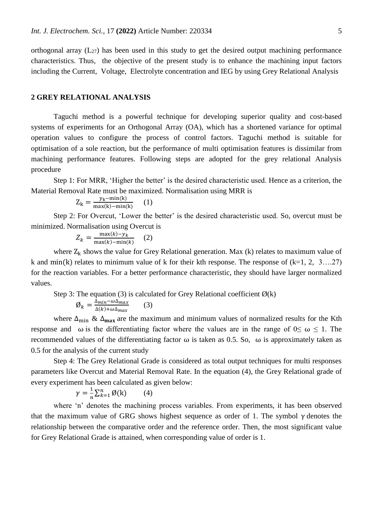orthogonal array  $(L_{27})$  has been used in this study to get the desired output machining performance characteristics. Thus, the objective of the present study is to enhance the machining input factors including the Current, Voltage, Electrolyte concentration and IEG by using Grey Relational Analysis

# **2 GREY RELATIONAL ANALYSIS**

Taguchi method is a powerful technique for developing superior quality and cost-based systems of experiments for an Orthogonal Array (OA), which has a shortened variance for optimal operation values to configure the process of control factors. Taguchi method is suitable for optimisation of a sole reaction, but the performance of multi optimisation features is dissimilar from machining performance features. Following steps are adopted for the grey relational Analysis procedure

Step 1: For MRR, 'Higher the better' is the desired characteristic used. Hence as a criterion, the Material Removal Rate must be maximized. Normalisation using MRR is

$$
Z_{k} = \frac{y_{k} - \min(k)}{\max(k) - \min(k)} \qquad (1)
$$

Step 2: For Overcut, 'Lower the better' is the desired characteristic used. So, overcut must be minimized. Normalisation using Overcut is

$$
Z_k = \frac{\max(k) - y_k}{\max(k) - \min(k)} \quad (2)
$$

where  $Z_k$  shows the value for Grey Relational generation. Max (k) relates to maximum value of k and min(k) relates to minimum value of k for their kth response. The response of  $(k=1, 2, 3...27)$ for the reaction variables. For a better performance characteristic, they should have larger normalized values.

Step 3: The equation (3) is calculated for Grey Relational coefficient  $\varnothing(k)$  $\emptyset_k = \frac{\Delta_{min} - \omega \Delta_{max}}{\Delta(k) + \omega \Delta_{max}}$  $\Delta(k)+\omega\Delta_{max}$ (3)

where  $\Delta_{\min}$  &  $\Delta_{\max}$  are the maximum and minimum values of normalized results for the Kth response and  $\omega$  is the differentiating factor where the values are in the range of  $0 \leq \omega \leq 1$ . The recommended values of the differentiating factor  $\omega$  is taken as 0.5. So,  $\omega$  is approximately taken as 0.5 for the analysis of the current study

Step 4: The Grey Relational Grade is considered as total output techniques for multi responses parameters like Overcut and Material Removal Rate. In the equation (4), the Grey Relational grade of every experiment has been calculated as given below:

$$
\gamma = \frac{1}{n} \sum_{k=1}^{n} \emptyset(k) \qquad (4)
$$

where 'n' denotes the machining process variables. From experiments, it has been observed that the maximum value of GRG shows highest sequence as order of 1. The symbol  $\gamma$  denotes the relationship between the comparative order and the reference order. Then, the most significant value for Grey Relational Grade is attained, when corresponding value of order is 1.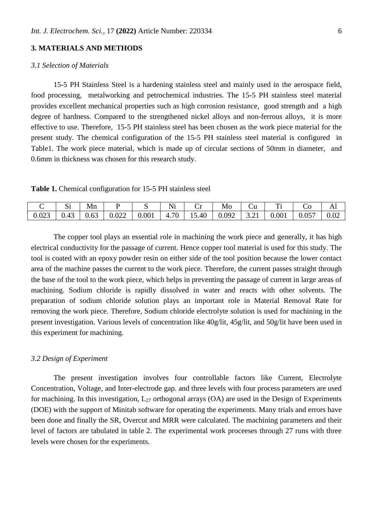# **3. MATERIALS AND METHODS**

# *3.1 Selection of Materials*

15-5 PH Stainless Steel is a hardening stainless steel and mainly used in the aerospace field, food processing, metalworking and petrochemical industries. The 15-5 PH stainless steel material provides excellent mechanical properties such as high corrosion resistance, good strength and a high degree of hardness. Compared to the strengthened nickel alloys and non-ferrous alloys, it is more effective to use. Therefore, 15-5 PH stainless steel has been chosen as the work piece material for the present study. The chemical configuration of the 15-5 PH stainless steel material is configured in Table1. The work piece material, which is made up of circular sections of 50mm in diameter, and 0.6mm in thickness was chosen for this research study.

**Table 1.** Chemical configuration for 15-5 PH stainless steel

|       | $\sim$<br>ບ⊥       | Mn         |       |       | $\cdot$ $\cdot$<br>1 J T | ີ     | Mo    | ∪u                             | m.<br>. . | w     | 1 TT |
|-------|--------------------|------------|-------|-------|--------------------------|-------|-------|--------------------------------|-----------|-------|------|
| 0.023 | $\sim$<br>$v.\tau$ | 62<br>u.uj | 0.022 | 0.001 | 70<br>⊥<br>$\cdots$      | 15.40 | 0.092 | $\sim$<br>$\sim$ 1<br><u>.</u> | 0.001     | 0.057 | 0.02 |

The copper tool plays an essential role in machining the work piece and generally, it has high electrical conductivity for the passage of current. Hence copper tool material is used for this study. The tool is coated with an epoxy powder resin on either side of the tool position because the lower contact area of the machine passes the current to the work piece. Therefore, the current passes straight through the base of the tool to the work piece, which helps in preventing the passage of current in large areas of machining. Sodium chloride is rapidly dissolved in water and reacts with other solvents. The preparation of sodium chloride solution plays an important role in Material Removal Rate for removing the work piece. Therefore, Sodium chloride electrolyte solution is used for machining in the present investigation. Various levels of concentration like 40g/lit, 45g/lit, and 50g/lit have been used in this experiment for machining.

# *3.2 Design of Experiment*

The present investigation involves four controllable factors like Current, Electrolyte Concentration, Voltage, and Inter-electrode gap. and three levels with four process parameters are used for machining. In this investigation,  $L_{27}$  orthogonal arrays (OA) are used in the Design of Experiments (DOE) with the support of Minitab software for operating the experiments. Many trials and errors have been done and finally the SR, Overcut and MRR were calculated. The machining parameters and their level of factors are tabulated in table 2. The experimental work proceeses through 27 runs with three levels were chosen for the experiments.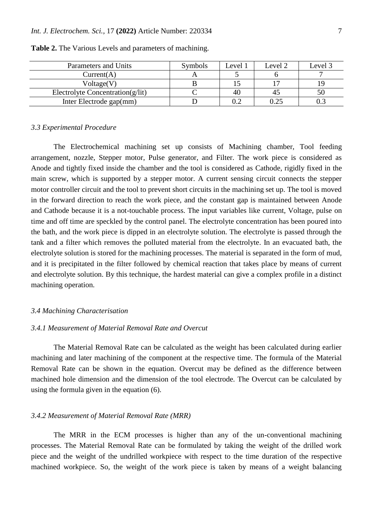| Parameters and Units                 | Symbols | Level 1 | Level 2 | Level 3 |
|--------------------------------------|---------|---------|---------|---------|
| Current(A)                           |         |         |         |         |
| Voltage(V)                           |         |         |         |         |
| Electrolyte Concentration( $g$ /lit) |         |         | 4.      | 50      |
| Inter Electrode gap(mm)              |         |         |         |         |

**Table 2.** The Various Levels and parameters of machining.

#### *3.3 Experimental Procedure*

The Electrochemical machining set up consists of Machining chamber, Tool feeding arrangement, nozzle, Stepper motor, Pulse generator, and Filter. The work piece is considered as Anode and tightly fixed inside the chamber and the tool is considered as Cathode, rigidly fixed in the main screw, which is supported by a stepper motor. A current sensing circuit connects the stepper motor controller circuit and the tool to prevent short circuits in the machining set up. The tool is moved in the forward direction to reach the work piece, and the constant gap is maintained between Anode and Cathode because it is a not-touchable process. The input variables like current, Voltage, pulse on time and off time are speckled by the control panel. The electrolyte concentration has been poured into the bath, and the work piece is dipped in an electrolyte solution. The electrolyte is passed through the tank and a filter which removes the polluted material from the electrolyte. In an evacuated bath, the electrolyte solution is stored for the machining processes. The material is separated in the form of mud, and it is precipitated in the filter followed by chemical reaction that takes place by means of current and electrolyte solution. By this technique, the hardest material can give a complex profile in a distinct machining operation.

# *3.4 Machining Characterisation*

# *3.4.1 Measurement of Material Removal Rate and Overcut*

The Material Removal Rate can be calculated as the weight has been calculated during earlier machining and later machining of the component at the respective time. The formula of the Material Removal Rate can be shown in the equation. Overcut may be defined as the difference between machined hole dimension and the dimension of the tool electrode. The Overcut can be calculated by using the formula given in the equation (6).

# *3.4.2 Measurement of Material Removal Rate (MRR)*

The MRR in the ECM processes is higher than any of the un-conventional machining processes. The Material Removal Rate can be formulated by taking the weight of the drilled work piece and the weight of the undrilled workpiece with respect to the time duration of the respective machined workpiece. So, the weight of the work piece is taken by means of a weight balancing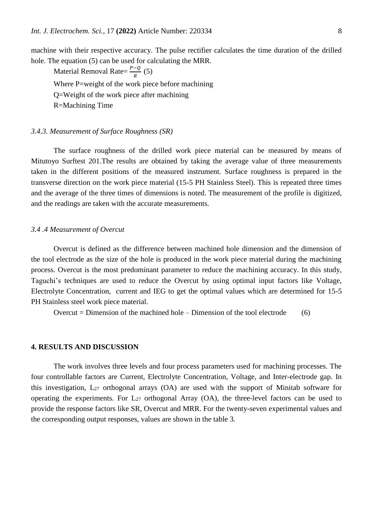machine with their respective accuracy. The pulse rectifier calculates the time duration of the drilled hole. The equation (5) can be used for calculating the MRR.

Material Removal Rate= $\frac{P-Q}{R}$  (5) Where P=weight of the work piece before machining Q=Weight of the work piece after machining R=Machining Time

#### *3.4.3. Measurement of Surface Roughness (SR)*

The surface roughness of the drilled work piece material can be measured by means of Mitutoyo Surftest 201.The results are obtained by taking the average value of three measurements taken in the different positions of the measured instrument. Surface roughness is prepared in the transverse direction on the work piece material (15-5 PH Stainless Steel). This is repeated three times and the average of the three times of dimensions is noted. The measurement of the profile is digitized, and the readings are taken with the accurate measurements.

#### *3.4 .4 Measurement of Overcut*

Overcut is defined as the difference between machined hole dimension and the dimension of the tool electrode as the size of the hole is produced in the work piece material during the machining process. Overcut is the most predominant parameter to reduce the machining accuracy. In this study, Taguchi's techniques are used to reduce the Overcut by using optimal input factors like Voltage, Electrolyte Concentration, current and IEG to get the optimal values which are determined for 15-5 PH Stainless steel work piece material.

Overcut = Dimension of the machined hole – Dimension of the tool electrode  $(6)$ 

#### **4. RESULTS AND DISCUSSION**

The work involves three levels and four process parameters used for machining processes. The four controllable factors are Current, Electrolyte Concentration, Voltage, and Inter-electrode gap. In this investigation,  $L_{27}$  orthogonal arrays (OA) are used with the support of Minitab software for operating the experiments. For  $L_{27}$  orthogonal Array (OA), the three-level factors can be used to provide the response factors like SR, Overcut and MRR. For the twenty-seven experimental values and the corresponding output responses, values are shown in the table 3.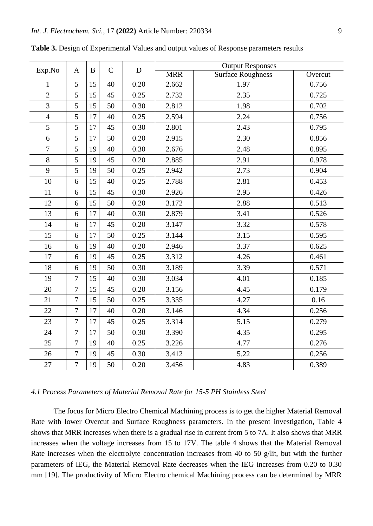| Exp.No         | $\mathbf{A}$   | B  | $\mathbf C$ | D    | <b>Output Responses</b> |                   |         |  |  |
|----------------|----------------|----|-------------|------|-------------------------|-------------------|---------|--|--|
|                |                |    |             |      | <b>MRR</b>              | Surface Roughness | Overcut |  |  |
| $\mathbf{1}$   | 5              | 15 | 40          | 0.20 | 2.662                   | 1.97              | 0.756   |  |  |
| $\mathbf{2}$   | 5              | 15 | 45          | 0.25 | 2.732                   | 2.35              | 0.725   |  |  |
| 3              | 5              | 15 | 50          | 0.30 | 2.812                   | 1.98              | 0.702   |  |  |
| $\overline{4}$ | 5              | 17 | 40          | 0.25 | 2.594                   | 2.24              | 0.756   |  |  |
| 5              | 5              | 17 | 45          | 0.30 | 2.801                   | 2.43              | 0.795   |  |  |
| 6              | 5              | 17 | 50          | 0.20 | 2.915                   | 2.30              | 0.856   |  |  |
| 7              | 5              | 19 | 40          | 0.30 | 2.676                   | 2.48              | 0.895   |  |  |
| $8\,$          | 5              | 19 | 45          | 0.20 | 2.885                   | 2.91              | 0.978   |  |  |
| 9              | 5              | 19 | 50          | 0.25 | 2.942                   | 2.73              | 0.904   |  |  |
| 10             | 6              | 15 | 40          | 0.25 | 2.788                   | 2.81              | 0.453   |  |  |
| 11             | 6              | 15 | 45          | 0.30 | 2.926                   | 2.95              | 0.426   |  |  |
| 12             | 6              | 15 | 50          | 0.20 | 3.172                   | 2.88              | 0.513   |  |  |
| 13             | 6              | 17 | 40          | 0.30 | 2.879                   | 3.41              | 0.526   |  |  |
| 14             | 6              | 17 | 45          | 0.20 | 3.147                   | 3.32              | 0.578   |  |  |
| 15             | 6              | 17 | 50          | 0.25 | 3.144                   | 3.15              | 0.595   |  |  |
| 16             | 6              | 19 | 40          | 0.20 | 2.946                   | 3.37              | 0.625   |  |  |
| 17             | 6              | 19 | 45          | 0.25 | 3.312                   | 4.26              | 0.461   |  |  |
| 18             | 6              | 19 | 50          | 0.30 | 3.189                   | 3.39              | 0.571   |  |  |
| 19             | $\overline{7}$ | 15 | 40          | 0.30 | 3.034                   | 4.01              | 0.185   |  |  |
| 20             | $\overline{7}$ | 15 | 45          | 0.20 | 3.156                   | 4.45              | 0.179   |  |  |
| 21             | $\overline{7}$ | 15 | 50          | 0.25 | 3.335                   | 4.27              | 0.16    |  |  |
| 22             | $\tau$         | 17 | 40          | 0.20 | 3.146                   | 4.34              | 0.256   |  |  |
| 23             | 7              | 17 | 45          | 0.25 | 3.314                   | 5.15              | 0.279   |  |  |
| 24             | $\overline{7}$ | 17 | 50          | 0.30 | 3.390                   | 4.35              | 0.295   |  |  |
| 25             | $\overline{7}$ | 19 | 40          | 0.25 | 3.226                   | 4.77              | 0.276   |  |  |
| 26             | $\overline{7}$ | 19 | 45          | 0.30 | 3.412                   | 5.22              | 0.256   |  |  |
| 27             | $\overline{7}$ | 19 | 50          | 0.20 | 3.456                   | 4.83              | 0.389   |  |  |

**Table 3.** Design of Experimental Values and output values of Response parameters results

# *4.1 Process Parameters of Material Removal Rate for 15-5 PH Stainless Steel*

The focus for Micro Electro Chemical Machining process is to get the higher Material Removal Rate with lower Overcut and Surface Roughness parameters. In the present investigation, Table 4 shows that MRR increases when there is a gradual rise in current from 5 to 7A. It also shows that MRR increases when the voltage increases from 15 to 17V. The table 4 shows that the Material Removal Rate increases when the electrolyte concentration increases from 40 to 50 g/lit, but with the further parameters of IEG, the Material Removal Rate decreases when the IEG increases from 0.20 to 0.30 mm [19]. The productivity of Micro Electro chemical Machining process can be determined by MRR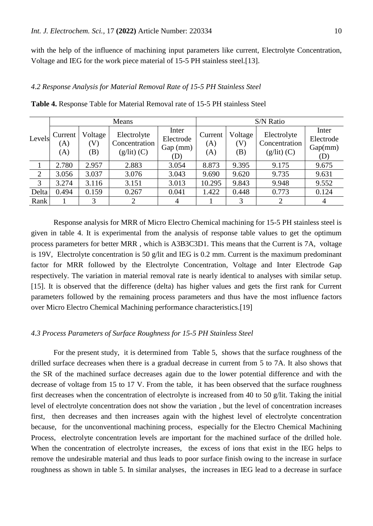with the help of the influence of machining input parameters like current, Electrolyte Concentration, Voltage and IEG for the work piece material of 15-5 PH stainless steel.[13].

# *4.2 Response Analysis for Material Removal Rate of 15-5 PH Stainless Steel*

| Levels         |                       |                       | Means                                         |                                       | S/N Ratio             |                       |                                               |                                      |  |
|----------------|-----------------------|-----------------------|-----------------------------------------------|---------------------------------------|-----------------------|-----------------------|-----------------------------------------------|--------------------------------------|--|
|                | Current<br>(A)<br>(A) | Voltage<br>(V)<br>(B) | Electrolyte<br>Concentration<br>$(g/lit)$ (C) | Inter<br>Electrode<br>Gap (mm)<br>(D) | Current<br>(A)<br>(A) | Voltage<br>(V)<br>(B) | Electrolyte<br>Concentration<br>$(g/lit)$ (C) | Inter<br>Electrode<br>Gap(mm)<br>(D) |  |
|                | 2.780                 | 2.957                 | 2.883                                         | 3.054                                 | 8.873                 | 9.395                 | 9.175                                         | 9.675                                |  |
| $\overline{2}$ | 3.056                 | 3.037                 | 3.076                                         | 3.043                                 | 9.690                 | 9.620                 | 9.735                                         | 9.631                                |  |
| 3              | 3.274                 | 3.116                 | 3.151                                         | 3.013                                 | 10.295                | 9.843                 | 9.948                                         | 9.552                                |  |
| Delta          | 0.494                 | 0.159                 | 0.267                                         | 0.041                                 | 1.422                 | 0.448                 | 0.773                                         | 0.124                                |  |
| Rank           |                       | 3                     | 2                                             | 4                                     |                       | 3                     | 2                                             | $\overline{4}$                       |  |

**Table 4.** Response Table for Material Removal rate of 15-5 PH stainless Steel

Response analysis for MRR of Micro Electro Chemical machining for 15-5 PH stainless steel is given in table 4. It is experimental from the analysis of response table values to get the optimum process parameters for better MRR , which is A3B3C3D1. This means that the Current is 7A, voltage is 19V, Electrolyte concentration is 50 g/lit and IEG is 0.2 mm. Current is the maximum predominant factor for MRR followed by the Electrolyte Concentration, Voltage and Inter Electrode Gap respectively. The variation in material removal rate is nearly identical to analyses with similar setup. [15]. It is observed that the difference (delta) has higher values and gets the first rank for Current parameters followed by the remaining process parameters and thus have the most influence factors over Micro Electro Chemical Machining performance characteristics.[19]

# *4.3 Process Parameters of Surface Roughness for 15-5 PH Stainless Steel*

For the present study, it is determined from Table 5, shows that the surface roughness of the drilled surface decreases when there is a gradual decrease in current from 5 to 7A. It also shows that the SR of the machined surface decreases again due to the lower potential difference and with the decrease of voltage from 15 to 17 V. From the table, it has been observed that the surface roughness first decreases when the concentration of electrolyte is increased from 40 to 50 g/lit. Taking the initial level of electrolyte concentration does not show the variation , but the level of concentration increases first, then decreases and then increases again with the highest level of electrolyte concentration because, for the unconventional machining process, especially for the Electro Chemical Machining Process, electrolyte concentration levels are important for the machined surface of the drilled hole. When the concentration of electrolyte increases, the excess of ions that exist in the IEG helps to remove the undesirable material and thus leads to poor surface finish owing to the increase in surface roughness as shown in table 5. In similar analyses, the increases in IEG lead to a decrease in surface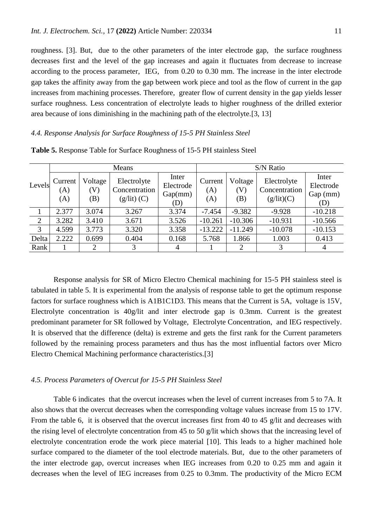roughness. [3]. But, due to the other parameters of the inter electrode gap, the surface roughness decreases first and the level of the gap increases and again it fluctuates from decrease to increase according to the process parameter, IEG, from 0.20 to 0.30 mm. The increase in the inter electrode gap takes the affinity away from the gap between work piece and tool as the flow of current in the gap increases from machining processes. Therefore, greater flow of current density in the gap yields lesser surface roughness. Less concentration of electrolyte leads to higher roughness of the drilled exterior area because of ions diminishing in the machining path of the electrolyte.[3, 13]

# *4.4. Response Analysis for Surface Roughness of 15-5 PH Stainless Steel*

|        |                       |                      | Means                                         |                                      | S/N Ratio             |                      |                                            |                                       |  |
|--------|-----------------------|----------------------|-----------------------------------------------|--------------------------------------|-----------------------|----------------------|--------------------------------------------|---------------------------------------|--|
| Levels | Current<br>(A)<br>(A) | Voltage<br>V)<br>(B) | Electrolyte<br>Concentration<br>$(g/lit)$ (C) | Inter<br>Electrode<br>Gap(mm)<br>(D) | Current<br>(A)<br>(A) | Voltage<br>V)<br>(B) | Electrolyte<br>Concentration<br>(g/lit)(C) | Inter<br>Electrode<br>Gap (mm)<br>(D) |  |
|        | 2.377                 | 3.074                | 3.267                                         | 3.374                                | $-7.454$              | $-9.382$             | $-9.928$                                   | $-10.218$                             |  |
| 2      | 3.282                 | 3.410                | 3.671                                         | 3.526                                | $-10.261$             | $-10.306$            | $-10.931$                                  | $-10.566$                             |  |
| 3      | 4.599                 | 3.773                | 3.320                                         | 3.358                                | $-13.222$             | $-11.249$            | $-10.078$                                  | $-10.153$                             |  |
| Delta  | 2.222                 | 0.699                | 0.404                                         | 0.168                                | 5.768                 | 1.866                | 1.003                                      | 0.413                                 |  |
| Rank   |                       | $\overline{2}$       | 3                                             | 4                                    |                       | $\overline{2}$       | 3                                          | 4                                     |  |

**Table 5.** Response Table for Surface Roughness of 15-5 PH stainless Steel

Response analysis for SR of Micro Electro Chemical machining for 15-5 PH stainless steel is tabulated in table 5. It is experimental from the analysis of response table to get the optimum response factors for surface roughness which is A1B1C1D3. This means that the Current is 5A, voltage is 15V, Electrolyte concentration is 40g/lit and inter electrode gap is 0.3mm. Current is the greatest predominant parameter for SR followed by Voltage, Electrolyte Concentration, and IEG respectively. It is observed that the difference (delta) is extreme and gets the first rank for the Current parameters followed by the remaining process parameters and thus has the most influential factors over Micro Electro Chemical Machining performance characteristics.[3]

# *4.5. Process Parameters of Overcut for 15-5 PH Stainless Steel*

Table 6 indicates that the overcut increases when the level of current increases from 5 to 7A. It also shows that the overcut decreases when the corresponding voltage values increase from 15 to 17V. From the table 6, it is observed that the overcut increases first from 40 to 45 g/lit and decreases with the rising level of electrolyte concentration from 45 to 50 g/lit which shows that the increasing level of electrolyte concentration erode the work piece material [10]. This leads to a higher machined hole surface compared to the diameter of the tool electrode materials. But, due to the other parameters of the inter electrode gap, overcut increases when IEG increases from 0.20 to 0.25 mm and again it decreases when the level of IEG increases from 0.25 to 0.3mm. The productivity of the Micro ECM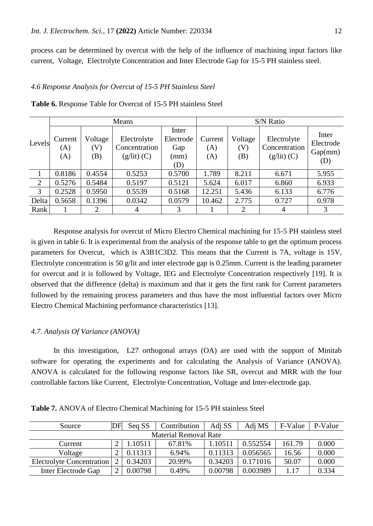process can be determined by overcut with the help of the influence of machining input factors like current, Voltage, Electrolyte Concentration and Inter Electrode Gap for 15-5 PH stainless steel.

# *4.6 Response Analysis for Overcut of 15-5 PH Stainless Steel*

|                |                       |                       | Means                                         |                                          | S/N Ratio             |                                              |                                               |                                      |  |
|----------------|-----------------------|-----------------------|-----------------------------------------------|------------------------------------------|-----------------------|----------------------------------------------|-----------------------------------------------|--------------------------------------|--|
| Levels         | Current<br>(A)<br>(A) | Voltage<br>(V)<br>(B) | Electrolyte<br>Concentration<br>$(g/lit)$ (C) | Inter<br>Electrode<br>Gap<br>(mm)<br>(D) | Current<br>(A)<br>(A) | Voltage<br>$\left( \mathrm{V}\right)$<br>(B) | Electrolyte<br>Concentration<br>$(g/lit)$ (C) | Inter<br>Electrode<br>Gap(mm)<br>(D) |  |
|                | 0.8186                | 0.4554                | 0.5253                                        | 0.5700                                   | 1.789                 | 8.211                                        | 6.671                                         | 5.955                                |  |
| $\overline{2}$ | 0.5276                | 0.5484                | 0.5197                                        | 0.5121                                   | 5.624                 | 6.017                                        | 6.860                                         | 6.933                                |  |
| 3              | 0.2528                | 0.5950                | 0.5539                                        | 0.5168                                   | 12.251                | 5.436                                        | 6.133                                         | 6.776                                |  |
| Delta          | 0.5658                | 0.1396                | 0.0342                                        | 0.0579                                   | 10.462                | 2.775                                        | 0.727                                         | 0.978                                |  |
| Rank           |                       | $\overline{2}$        | 4                                             | 3                                        |                       | 2                                            | 4                                             | 3                                    |  |

**Table 6.** Response Table for Overcut of 15-5 PH stainless Steel

Response analysis for overcut of Micro Electro Chemical machining for 15-5 PH stainless steel is given in table 6. It is experimental from the analysis of the response table to get the optimum process parameters for Overcut, which is A3B1C3D2. This means that the Current is 7A, voltage is 15V, Electrolyte concentration is 50 g/lit and inter electrode gap is 0.25mm. Current is the leading parameter for overcut and it is followed by Voltage, IEG and Electrolyte Concentration respectively [19]. It is observed that the difference (delta) is maximum and that it gets the first rank for Current parameters followed by the remaining process parameters and thus have the most influential factors over Micro Electro Chemical Machining performance characteristics [13].

# *4.7. Analysis Of Variance (ANOVA)*

In this investigation, L27 orthogonal arrays (OA) are used with the support of Minitab software for operating the experiments and for calculating the Analysis of Variance (ANOVA). ANOVA is calculated for the following response factors like SR, overcut and MRR with the four controllable factors like Current, Electrolyte Concentration, Voltage and Inter-electrode gap.

| Source                       | DF | Seq SS  | Contribution | Adi SS  | Adj MS   | F-Value | P-Value |  |
|------------------------------|----|---------|--------------|---------|----------|---------|---------|--|
| <b>Material Removal Rate</b> |    |         |              |         |          |         |         |  |
| Current                      |    | .10511  | 67.81%       | 1.10511 | 0.552554 | 161.79  | 0.000   |  |
| Voltage                      |    | 0.11313 | 6.94%        | 0.11313 | 0.056565 | 16.56   | 0.000   |  |
| Electrolyte Concentration    |    | 0.34203 | 20.99%       | 0.34203 | 0.171016 | 50.07   | 0.000   |  |
| Inter Electrode Gap          |    | 0.00798 | 0.49%        | 0.00798 | 0.003989 | 1.17    | 0.334   |  |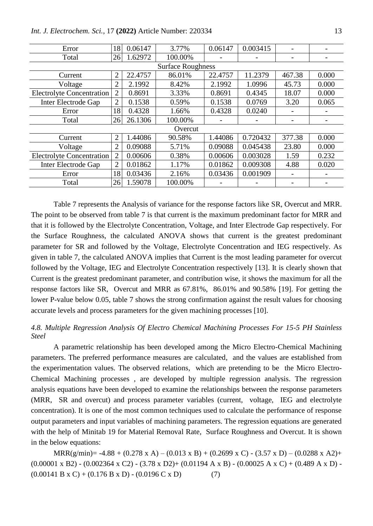| Error                            | 18             | 0.06147 | 3.77%                    | 0.06147 | 0.003415 |        |       |
|----------------------------------|----------------|---------|--------------------------|---------|----------|--------|-------|
| Total                            | 26             | 1.62972 | 100.00%                  |         |          |        |       |
|                                  |                |         | <b>Surface Roughness</b> |         |          |        |       |
| Current                          | $\overline{2}$ | 22.4757 | 86.01%                   | 22.4757 | 11.2379  | 467.38 | 0.000 |
| Voltage                          | $\overline{2}$ | 2.1992  | 8.42%                    | 2.1992  | 1.0996   | 45.73  | 0.000 |
| <b>Electrolyte Concentration</b> | $\overline{2}$ | 0.8691  | 3.33%                    | 0.8691  | 0.4345   | 18.07  | 0.000 |
| Inter Electrode Gap              | $\overline{2}$ | 0.1538  | 0.59%                    | 0.1538  | 0.0769   | 3.20   | 0.065 |
| Error                            | 18             | 0.4328  | 1.66%                    | 0.4328  | 0.0240   |        |       |
| Total                            | 26             | 26.1306 | 100.00%                  |         |          |        |       |
|                                  |                |         | Overcut                  |         |          |        |       |
| Current                          | $\overline{2}$ | 1.44086 | 90.58%                   | 1.44086 | 0.720432 | 377.38 | 0.000 |
| Voltage                          | $\overline{2}$ | 0.09088 | 5.71%                    | 0.09088 | 0.045438 | 23.80  | 0.000 |
| <b>Electrolyte Concentration</b> | $\overline{2}$ | 0.00606 | 0.38%                    | 0.00606 | 0.003028 | 1.59   | 0.232 |
| Inter Electrode Gap              | $\overline{2}$ | 0.01862 | 1.17%                    | 0.01862 | 0.009308 | 4.88   | 0.020 |
| Error                            | 18             | 0.03436 | 2.16%                    | 0.03436 | 0.001909 |        |       |
| Total                            | 26             | 1.59078 | 100.00%                  |         |          | -      |       |

Table 7 represents the Analysis of variance for the response factors like SR, Overcut and MRR. The point to be observed from table 7 is that current is the maximum predominant factor for MRR and that it is followed by the Electrolyte Concentration, Voltage, and Inter Electrode Gap respectively. For the Surface Roughness, the calculated ANOVA shows that current is the greatest predominant parameter for SR and followed by the Voltage, Electrolyte Concentration and IEG respectively. As given in table 7, the calculated ANOVA implies that Current is the most leading parameter for overcut followed by the Voltage, IEG and Electrolyte Concentration respectively [13]. It is clearly shown that Current is the greatest predominant parameter, and contribution wise, it shows the maximum for all the response factors like SR, Overcut and MRR as 67.81%, 86.01% and 90.58% [19]. For getting the lower P-value below 0.05, table 7 shows the strong confirmation against the result values for choosing accurate levels and process parameters for the given machining processes [10].

# *4.8. Multiple Regression Analysis Of Electro Chemical Machining Processes For 15-5 PH Stainless Steel*

A parametric relationship has been developed among the Micro Electro-Chemical Machining parameters. The preferred performance measures are calculated, and the values are established from the experimentation values. The observed relations, which are pretending to be the Micro Electro-Chemical Machining processes , are developed by multiple regression analysis. The regression analysis equations have been developed to examine the relationships between the response parameters (MRR, SR and overcut) and process parameter variables (current, voltage, IEG and electrolyte concentration). It is one of the most common techniques used to calculate the performance of response output parameters and input variables of machining parameters. The regression equations are generated with the help of Minitab 19 for Material Removal Rate, Surface Roughness and Overcut. It is shown in the below equations:

MRR(g/min)=  $-4.88 + (0.278 \times A) - (0.013 \times B) + (0.2699 \times C) - (3.57 \times D) - (0.0288 \times A2) +$  $(0.00001 \times B2) - (0.002364 \times C2) - (3.78 \times D2) + (0.01194 \text{ A} \times B) - (0.00025 \text{ A} \times C) + (0.489 \text{ A} \times D) (0.00141 B x C) + (0.176 B x D) - (0.0196 C x D)$  (7)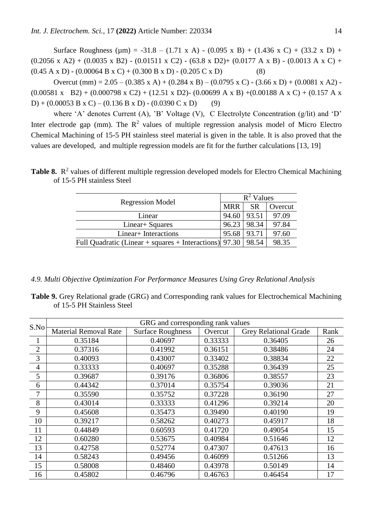Surface Roughness ( $\mu$ m) = -31.8 – (1.71 x A) - (0.095 x B) + (1.436 x C) + (33.2 x D) +  $(0.2056 \times A2) + (0.0035 \times B2) - (0.01511 \times C2) - (63.8 \times D2) + (0.0177 \text{ A} \times B) - (0.0013 \text{ A} \times C) +$  $(0.45 A x D) - (0.00064 B x C) + (0.300 B x D) - (0.205 C x D)$  (8)

Overcut (mm) =  $2.05 - (0.385 \times A) + (0.284 \times B) - (0.0795 \times C) - (3.66 \times D) + (0.0081 \times A2)$  - $(0.00581 \times B2) + (0.000798 \times C2) + (12.51 \times D2) - (0.00699 \text{ A} \times B) + (0.00188 \text{ A} \times C) + (0.157 \text{ A} \times C)$ D) + (0.00053 B x C) – (0.136 B x D) - (0.0390 C x D) (9)

where 'A' denotes Current (A), 'B' Voltage (V), C Electrolyte Concentration (g/lit) and 'D' Inter electrode gap (mm). The  $\mathbb{R}^2$  values of multiple regression analysis model of Micro Electro Chemical Machining of 15-5 PH stainless steel material is given in the table. It is also proved that the values are developed, and multiple regression models are fit for the further calculations [13, 19]

Table 8. R<sup>2</sup> values of different multiple regression developed models for Electro Chemical Machining of 15-5 PH stainless Steel

|                                                          | $R^2$ Values |           |         |  |
|----------------------------------------------------------|--------------|-----------|---------|--|
| <b>Regression Model</b>                                  | <b>MRR</b>   | <b>SR</b> | Overcut |  |
| Linear                                                   | 94.60        | 93.51     | 97.09   |  |
| Linear + Squares                                         | 96.23        | 98.34     | 97.84   |  |
| Linear+ Interactions                                     | 95.68        | 93.71     | 97.60   |  |
| Full Quadratic (Linear + squares + Interactions) $97.30$ |              | 98.54     | 98.35   |  |

*4.9. Multi Objective Optimization For Performance Measures Using Grey Relational Analysis*

**Table 9.** Grey Relational grade (GRG) and Corresponding rank values for Electrochemical Machining of 15-5 PH Stainless Steel

| S.No           |                              | GRG and corresponding rank values |         |                              |      |
|----------------|------------------------------|-----------------------------------|---------|------------------------------|------|
|                | <b>Material Removal Rate</b> | <b>Surface Roughness</b>          | Overcut | <b>Grey Relational Grade</b> | Rank |
| $\mathbf{1}$   | 0.35184                      | 0.40697                           | 0.33333 | 0.36405                      | 26   |
| $\overline{2}$ | 0.37316                      | 0.41992                           | 0.36151 | 0.38486                      | 24   |
| 3              | 0.40093                      | 0.43007                           | 0.33402 | 0.38834                      | 22   |
| $\overline{4}$ | 0.33333                      | 0.40697                           | 0.35288 | 0.36439                      | 25   |
| 5              | 0.39687                      | 0.39176                           | 0.36806 | 0.38557                      | 23   |
| 6              | 0.44342                      | 0.37014                           | 0.35754 | 0.39036                      | 21   |
| 7              | 0.35590                      | 0.35752                           | 0.37228 | 0.36190                      | 27   |
| 8              | 0.43014                      | 0.33333                           | 0.41296 | 0.39214                      | 20   |
| 9              | 0.45608                      | 0.35473                           | 0.39490 | 0.40190                      | 19   |
| 10             | 0.39217                      | 0.58262                           | 0.40273 | 0.45917                      | 18   |
| 11             | 0.44849                      | 0.60593                           | 0.41720 | 0.49054                      | 15   |
| 12             | 0.60280                      | 0.53675                           | 0.40984 | 0.51646                      | 12   |
| 13             | 0.42758                      | 0.52774                           | 0.47307 | 0.47613                      | 16   |
| 14             | 0.58243                      | 0.49456                           | 0.46099 | 0.51266                      | 13   |
| 15             | 0.58008                      | 0.48460                           | 0.43978 | 0.50149                      | 14   |
| 16             | 0.45802                      | 0.46796                           | 0.46763 | 0.46454                      | 17   |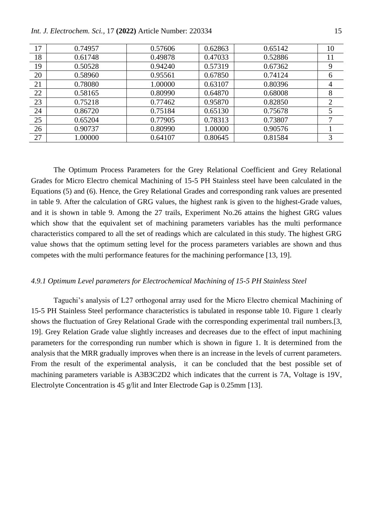| 17 | 0.74957 | 0.57606 | 0.62863 | 0.65142 | 10             |
|----|---------|---------|---------|---------|----------------|
| 18 | 0.61748 | 0.49878 | 0.47033 | 0.52886 | 11             |
| 19 | 0.50528 | 0.94240 | 0.57319 | 0.67362 | 9              |
| 20 | 0.58960 | 0.95561 | 0.67850 | 0.74124 | 6              |
| 21 | 0.78080 | 1.00000 | 0.63107 | 0.80396 | 4              |
| 22 | 0.58165 | 0.80990 | 0.64870 | 0.68008 | 8              |
| 23 | 0.75218 | 0.77462 | 0.95870 | 0.82850 | $\overline{2}$ |
| 24 | 0.86720 | 0.75184 | 0.65130 | 0.75678 | 5              |
| 25 | 0.65204 | 0.77905 | 0.78313 | 0.73807 | $\tau$         |
| 26 | 0.90737 | 0.80990 | 1.00000 | 0.90576 |                |
| 27 | 1.00000 | 0.64107 | 0.80645 | 0.81584 | 3              |

The Optimum Process Parameters for the Grey Relational Coefficient and Grey Relational Grades for Micro Electro chemical Machining of 15-5 PH Stainless steel have been calculated in the Equations (5) and (6). Hence, the Grey Relational Grades and corresponding rank values are presented in table 9. After the calculation of GRG values, the highest rank is given to the highest-Grade values, and it is shown in table 9. Among the 27 trails, Experiment No.26 attains the highest GRG values which show that the equivalent set of machining parameters variables has the multi performance characteristics compared to all the set of readings which are calculated in this study. The highest GRG value shows that the optimum setting level for the process parameters variables are shown and thus competes with the multi performance features for the machining performance [13, 19].

#### *4.9.1 Optimum Level parameters for Electrochemical Machining of 15-5 PH Stainless Steel*

Taguchi's analysis of L27 orthogonal array used for the Micro Electro chemical Machining of 15-5 PH Stainless Steel performance characteristics is tabulated in response table 10. Figure 1 clearly shows the fluctuation of Grey Relational Grade with the corresponding experimental trail numbers.[3, 19]. Grey Relation Grade value slightly increases and decreases due to the effect of input machining parameters for the corresponding run number which is shown in figure 1. It is determined from the analysis that the MRR gradually improves when there is an increase in the levels of current parameters. From the result of the experimental analysis, it can be concluded that the best possible set of machining parameters variable is A3B3C2D2 which indicates that the current is 7A, Voltage is 19V, Electrolyte Concentration is 45 g/lit and Inter Electrode Gap is 0.25mm [13].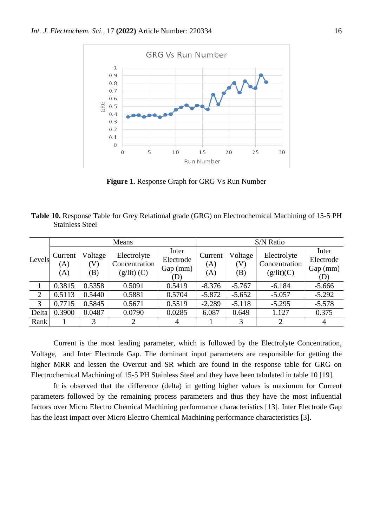

**Figure 1.** Response Graph for GRG Vs Run Number

| Table 10. Response Table for Grey Relational grade (GRG) on Electrochemical Machining of 15-5 PH |  |
|--------------------------------------------------------------------------------------------------|--|
| <b>Stainless Steel</b>                                                                           |  |

|                | Means                 |                       |                                               | S/N Ratio                             |                       |                       |                                            |                                       |
|----------------|-----------------------|-----------------------|-----------------------------------------------|---------------------------------------|-----------------------|-----------------------|--------------------------------------------|---------------------------------------|
| Levels         | Current<br>(A)<br>(A) | Voltage<br>(V)<br>(B) | Electrolyte<br>Concentration<br>$(g/lit)$ (C) | Inter<br>Electrode<br>Gap (mm)<br>(D) | Current<br>(A)<br>(A) | Voltage<br>(V)<br>(B) | Electrolyte<br>Concentration<br>(g/lit)(C) | Inter<br>Electrode<br>Gap (mm)<br>(D) |
|                | 0.3815                | 0.5358                | 0.5091                                        | 0.5419                                | $-8.376$              | $-5.767$              | $-6.184$                                   | $-5.666$                              |
| $\overline{2}$ | 0.5113                | 0.5440                | 0.5881                                        | 0.5704                                | $-5.872$              | $-5.652$              | $-5.057$                                   | $-5.292$                              |
| 3              | 0.7715                | 0.5845                | 0.5671                                        | 0.5519                                | $-2.289$              | $-5.118$              | $-5.295$                                   | $-5.578$                              |
| Delta          | 0.3900                | 0.0487                | 0.0790                                        | 0.0285                                | 6.087                 | 0.649                 | 1.127                                      | 0.375                                 |
| Rank           |                       | 3                     | 2                                             | 4                                     |                       | 3                     | 2                                          | $\overline{4}$                        |

Current is the most leading parameter, which is followed by the Electrolyte Concentration, Voltage, and Inter Electrode Gap. The dominant input parameters are responsible for getting the higher MRR and lessen the Overcut and SR which are found in the response table for GRG on Electrochemical Machining of 15-5 PH Stainless Steel and they have been tabulated in table 10 [19].

It is observed that the difference (delta) in getting higher values is maximum for Current parameters followed by the remaining process parameters and thus they have the most influential factors over Micro Electro Chemical Machining performance characteristics [13]. Inter Electrode Gap has the least impact over Micro Electro Chemical Machining performance characteristics [3].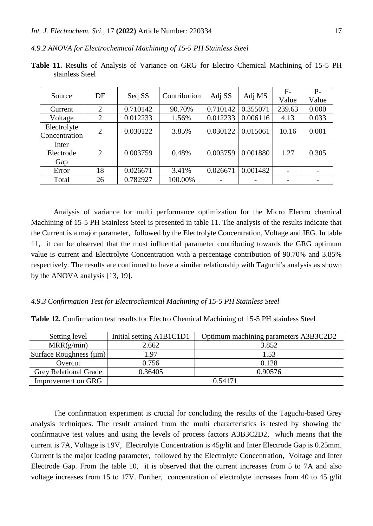*4.9.2 ANOVA for Electrochemical Machining of 15-5 PH Stainless Steel*

| Source                       | DF             | Seq SS   | Contribution | Adj SS                   | Adj MS   | $F-$            | $P-$  |
|------------------------------|----------------|----------|--------------|--------------------------|----------|-----------------|-------|
|                              |                |          |              |                          |          | Value           | Value |
| Current                      | $\overline{2}$ | 0.710142 | 90.70%       | 0.710142                 | 0.355071 | 239.63          | 0.000 |
| Voltage                      | 2              | 0.012233 | 1.56%        | 0.012233                 | 0.006116 | 4.13            | 0.033 |
| Electrolyte<br>Concentration | $\overline{2}$ | 0.030122 | 3.85%        | 0.030122                 | 0.015061 | 10.16           | 0.001 |
| Inter<br>Electrode<br>Gap    | 2              | 0.003759 | 0.48%        | 0.003759                 | 0.001880 | 1.27            | 0.305 |
| Error                        | 18             | 0.026671 | 3.41%        | 0.026671                 | 0.001482 | $\qquad \qquad$ |       |
| Total                        | 26             | 0.782927 | 100.00%      | $\overline{\phantom{a}}$ |          |                 |       |

**Table 11.** Results of Analysis of Variance on GRG for Electro Chemical Machining of 15-5 PH stainless Steel

Analysis of variance for multi performance optimization for the Micro Electro chemical Machining of 15-5 PH Stainless Steel is presented in table 11. The analysis of the results indicate that the Current is a major parameter, followed by the Electrolyte Concentration, Voltage and IEG. In table 11, it can be observed that the most influential parameter contributing towards the GRG optimum value is current and Electrolyte Concentration with a percentage contribution of 90.70% and 3.85% respectively. The results are confirmed to have a similar relationship with Taguchi's analysis as shown by the ANOVA analysis [13, 19].

# *4.9.3 Confirmation Test for Electrochemical Machining of 15-5 PH Stainless Steel*

**Table 12.** Confirmation test results for Electro Chemical Machining of 15-5 PH stainless Steel

| Setting level                | Initial setting A1B1C1D1 | Optimum machining parameters A3B3C2D2 |  |
|------------------------------|--------------------------|---------------------------------------|--|
| MRR(g/min)                   | 2.662                    | 3.852                                 |  |
| Surface Roughness $(\mu m)$  | 1.97                     | 1.53                                  |  |
| Overcut                      | 0.756                    | 0.128                                 |  |
| <b>Grey Relational Grade</b> | 0.36405                  | 0.90576                               |  |
| Improvement on GRG           | 0.54171                  |                                       |  |

The confirmation experiment is crucial for concluding the results of the Taguchi-based Grey analysis techniques. The result attained from the multi characteristics is tested by showing the confirmative test values and using the levels of process factors A3B3C2D2, which means that the current is 7A, Voltage is 19V, Electrolyte Concentration is 45g/lit and Inter Electrode Gap is 0.25mm. Current is the major leading parameter, followed by the Electrolyte Concentration, Voltage and Inter Electrode Gap. From the table 10, it is observed that the current increases from 5 to 7A and also voltage increases from 15 to 17V. Further, concentration of electrolyte increases from 40 to 45 g/lit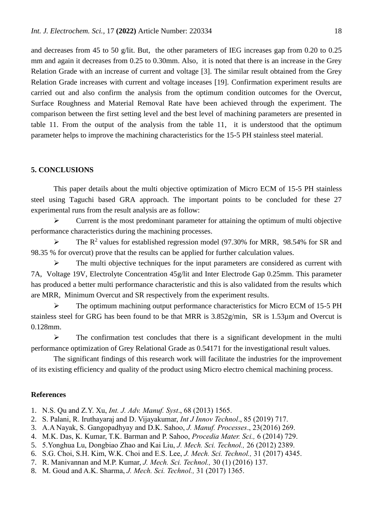and decreases from 45 to 50 g/lit. But, the other parameters of IEG increases gap from 0.20 to 0.25 mm and again it decreases from 0.25 to 0.30mm. Also, it is noted that there is an increase in the Grey Relation Grade with an increase of current and voltage [3]. The similar result obtained from the Grey Relation Grade increases with current and voltage inceases [19]. Confirmation experiment results are carried out and also confirm the analysis from the optimum condition outcomes for the Overcut, Surface Roughness and Material Removal Rate have been achieved through the experiment. The comparison between the first setting level and the best level of machining parameters are presented in table 11. From the output of the analysis from the table 11, it is understood that the optimum parameter helps to improve the machining characteristics for the 15-5 PH stainless steel material.

#### **5. CONCLUSIONS**

This paper details about the multi objective optimization of Micro ECM of 15-5 PH stainless steel using Taguchi based GRA approach. The important points to be concluded for these 27 experimental runs from the result analysis are as follow:

 $\triangleright$  Current is the most predominant parameter for attaining the optimum of multi objective performance characteristics during the machining processes.

 $\triangleright$  The R<sup>2</sup> values for established regression model (97.30% for MRR, 98.54% for SR and 98.35 % for overcut) prove that the results can be applied for further calculation values.

 $\triangleright$  The multi objective techniques for the input parameters are considered as current with 7A, Voltage 19V, Electrolyte Concentration 45g/lit and Inter Electrode Gap 0.25mm. This parameter has produced a better multi performance characteristic and this is also validated from the results which are MRR, Minimum Overcut and SR respectively from the experiment results.

 The optimum machining output performance characteristics for Micro ECM of 15-5 PH stainless steel for GRG has been found to be that MRR is 3.852g/min, SR is 1.53µm and Overcut is 0.128mm.

 $\triangleright$  The confirmation test concludes that there is a significant development in the multi performance optimization of Grey Relational Grade as 0.54171 for the investigational result values.

The significant findings of this research work will facilitate the industries for the improvement of its existing efficiency and quality of the product using Micro electro chemical machining process.

#### **References**

1. N.S. Qu and Z.Y. Xu, *Int. J. Adv. Manuf. Syst*., 68 (2013) 1565.

- 2. S. Palani, R. Iruthayaraj and D. Vijayakumar, *Int J Innov Technol*., 85 (2019) 717.
- 3. A.A Nayak, S. Gangopadhyay and D.K. Sahoo, *J. Manuf. Processes*., 23(2016) 269.
- 4. M.K. Das, K. Kumar, T.K. Barman and P. Sahoo, *Procedia Mater. Sci.,* 6 (2014) 729.
- 5. 5.Yonghua Lu, Dongbiao Zhao and Kai Liu, *J. Mech. Sci. Technol.,* 26 (2012) 2389.
- 6. S.G. Choi, S.H. Kim, W.K. Choi and E.S. Lee, *J. Mech. Sci. Technol.,* 31 (2017) 4345.
- 7. R. Manivannan and M.P. Kumar, *J. Mech. Sci. Technol.,* 30 (1) (2016) 137.
- 8. M. Goud and A.K. Sharma, *J. Mech. Sci. Technol.,* 31 (2017) 1365.